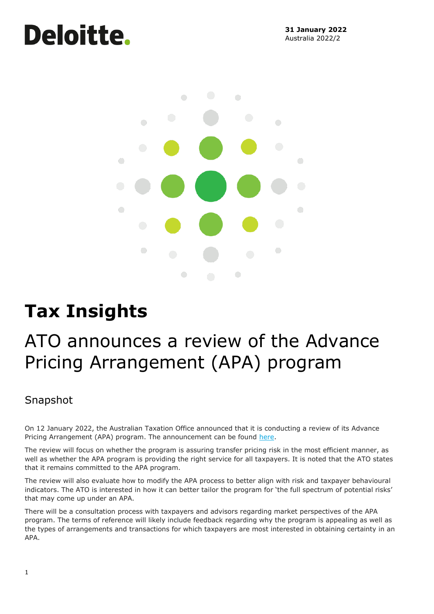# Deloitte.



# **Tax Insights**

## ATO announces a review of the Advance Pricing Arrangement (APA) program

### Snapshot

On 12 January 2022, the Australian Taxation Office announced that it is conducting a review of its Advance Pricing Arrangement (APA) program. The announcement can be found [here.](https://www.ato.gov.au/Business/Business-bulletins-newsroom/International/We-are-reviewing-the-advance-pricing-arrangement-program/)

The review will focus on whether the program is assuring transfer pricing risk in the most efficient manner, as well as whether the APA program is providing the right service for all taxpayers. It is noted that the ATO states that it remains committed to the APA program.

The review will also evaluate how to modify the APA process to better align with risk and taxpayer behavioural indicators. The ATO is interested in how it can better tailor the program for 'the full spectrum of potential risks' that may come up under an APA.

There will be a consultation process with taxpayers and advisors regarding market perspectives of the APA program. The terms of reference will likely include feedback regarding why the program is appealing as well as the types of arrangements and transactions for which taxpayers are most interested in obtaining certainty in an APA.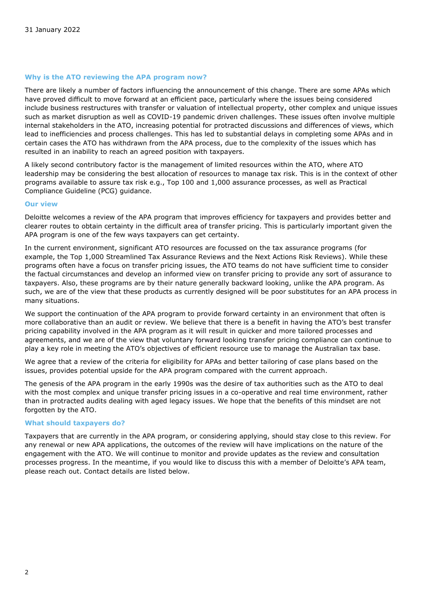#### **Why is the ATO reviewing the APA program now?**

There are likely a number of factors influencing the announcement of this change. There are some APAs which have proved difficult to move forward at an efficient pace, particularly where the issues being considered include business restructures with transfer or valuation of intellectual property, other complex and unique issues such as market disruption as well as COVID-19 pandemic driven challenges. These issues often involve multiple internal stakeholders in the ATO, increasing potential for protracted discussions and differences of views, which lead to inefficiencies and process challenges. This has led to substantial delays in completing some APAs and in certain cases the ATO has withdrawn from the APA process, due to the complexity of the issues which has resulted in an inability to reach an agreed position with taxpayers.

A likely second contributory factor is the management of limited resources within the ATO, where ATO leadership may be considering the best allocation of resources to manage tax risk. This is in the context of other programs available to assure tax risk e.g., Top 100 and 1,000 assurance processes, as well as Practical Compliance Guideline (PCG) guidance.

#### **Our view**

Deloitte welcomes a review of the APA program that improves efficiency for taxpayers and provides better and clearer routes to obtain certainty in the difficult area of transfer pricing. This is particularly important given the APA program is one of the few ways taxpayers can get certainty.

In the current environment, significant ATO resources are focussed on the tax assurance programs (for example, the Top 1,000 Streamlined Tax Assurance Reviews and the Next Actions Risk Reviews). While these programs often have a focus on transfer pricing issues, the ATO teams do not have sufficient time to consider the factual circumstances and develop an informed view on transfer pricing to provide any sort of assurance to taxpayers. Also, these programs are by their nature generally backward looking, unlike the APA program. As such, we are of the view that these products as currently designed will be poor substitutes for an APA process in many situations.

We support the continuation of the APA program to provide forward certainty in an environment that often is more collaborative than an audit or review. We believe that there is a benefit in having the ATO's best transfer pricing capability involved in the APA program as it will result in quicker and more tailored processes and agreements, and we are of the view that voluntary forward looking transfer pricing compliance can continue to play a key role in meeting the ATO's objectives of efficient resource use to manage the Australian tax base.

We agree that a review of the criteria for eligibility for APAs and better tailoring of case plans based on the issues, provides potential upside for the APA program compared with the current approach.

The genesis of the APA program in the early 1990s was the desire of tax authorities such as the ATO to deal with the most complex and unique transfer pricing issues in a co-operative and real time environment, rather than in protracted audits dealing with aged legacy issues. We hope that the benefits of this mindset are not forgotten by the ATO.

#### **What should taxpayers do?**

Taxpayers that are currently in the APA program, or considering applying, should stay close to this review. For any renewal or new APA applications, the outcomes of the review will have implications on the nature of the engagement with the ATO. We will continue to monitor and provide updates as the review and consultation processes progress. In the meantime, if you would like to discuss this with a member of Deloitte's APA team, please reach out. Contact details are listed below.